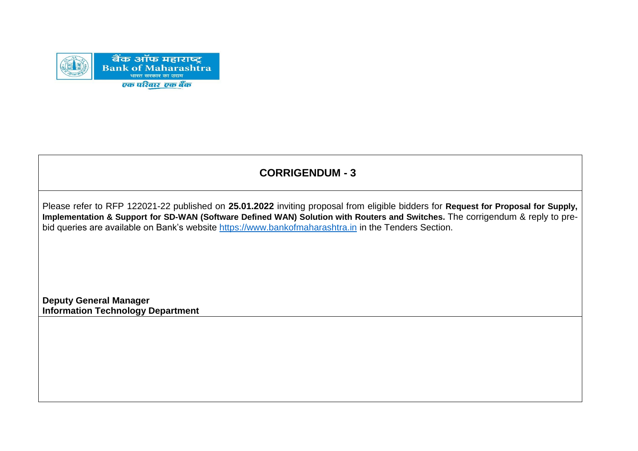

## **CORRIGENDUM - 3**

Please refer to RFP 122021-22 published on **25.01.2022** inviting proposal from eligible bidders for **Request for Proposal for Supply, Implementation & Support for SD-WAN (Software Defined WAN) Solution with Routers and Switches.** The corrigendum & reply to prebid queries are available on Bank's website [https://www.bankofmaharashtra.in](https://www.bankofmaharashtra.in/) in the Tenders Section.

**Deputy General Manager Information Technology Department**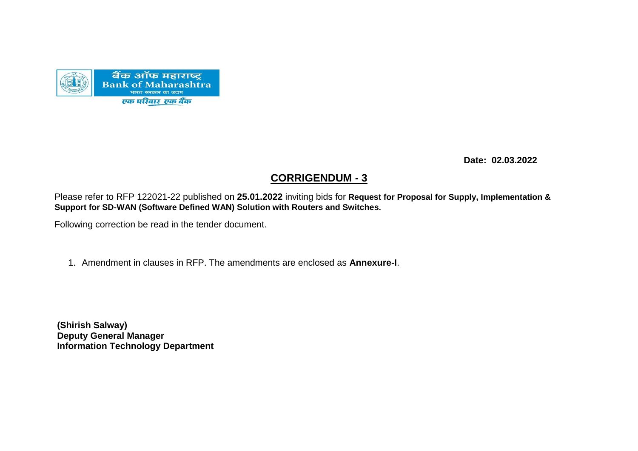

 **Date: 02.03.2022**

## **CORRIGENDUM - 3**

Please refer to RFP 122021-22 published on **25.01.2022** inviting bids for **Request for Proposal for Supply, Implementation & Support for SD-WAN (Software Defined WAN) Solution with Routers and Switches.**

Following correction be read in the tender document.

1. Amendment in clauses in RFP. The amendments are enclosed as **Annexure-I**.

**(Shirish Salway) Deputy General Manager Information Technology Department**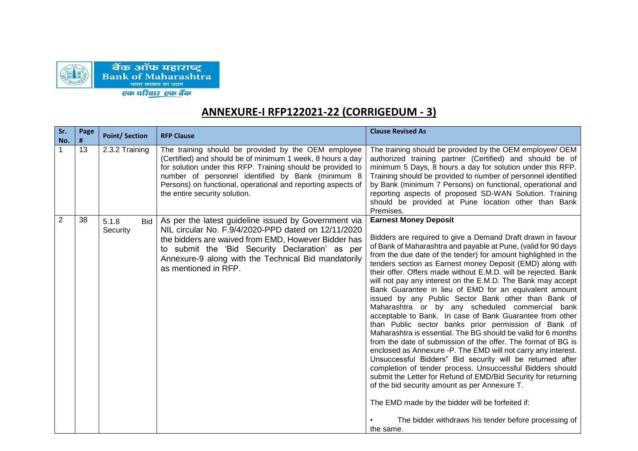

## **ANNEXURE-I RFP122021-22 (CORRIGEDUM - 3)**

| Sr.<br>No.     | Page<br># | <b>Point/Section</b>     | <b>RFP Clause</b>                                                                                                                                                                                                                                                                                                                      | <b>Clause Revised As</b>                                                                                                                                                                                                                                                                                                                                                                                                                                                                                                                                                                                                                                                                                                                                                                                                                                                                                                                                                                                                                                                                                                                                                                                                                                                                       |
|----------------|-----------|--------------------------|----------------------------------------------------------------------------------------------------------------------------------------------------------------------------------------------------------------------------------------------------------------------------------------------------------------------------------------|------------------------------------------------------------------------------------------------------------------------------------------------------------------------------------------------------------------------------------------------------------------------------------------------------------------------------------------------------------------------------------------------------------------------------------------------------------------------------------------------------------------------------------------------------------------------------------------------------------------------------------------------------------------------------------------------------------------------------------------------------------------------------------------------------------------------------------------------------------------------------------------------------------------------------------------------------------------------------------------------------------------------------------------------------------------------------------------------------------------------------------------------------------------------------------------------------------------------------------------------------------------------------------------------|
| $\mathbf 1$    | 13        | 2.3.2 Training           | The training should be provided by the OEM employee<br>(Certified) and should be of minimum 1 week, 8 hours a day<br>for solution under this RFP. Training should be provided to<br>number of personnel identified by Bank (minimum 8<br>Persons) on functional, operational and reporting aspects of<br>the entire security solution. | The training should be provided by the OEM employee/ OEM<br>authorized training partner (Certified) and should be of<br>minimum 5 Days, 8 hours a day for solution under this RFP.<br>Training should be provided to number of personnel identified<br>by Bank (minimum 7 Persons) on functional, operational and<br>reporting aspects of proposed SD-WAN Solution. Training<br>should be provided at Pune location other than Bank<br>Premises.                                                                                                                                                                                                                                                                                                                                                                                                                                                                                                                                                                                                                                                                                                                                                                                                                                               |
| $\overline{2}$ | 38        | 5.1.8<br>Bid<br>Security | As per the latest guideline issued by Government via<br>NIL circular No. F.9/4/2020-PPD dated on 12/11/2020<br>the bidders are waived from EMD, However Bidder has<br>to submit the 'Bid Security Declaration' as per<br>Annexure-9 along with the Technical Bid mandatorily<br>as mentioned in RFP.                                   | <b>Earnest Money Deposit</b><br>Bidders are required to give a Demand Draft drawn in favour<br>of Bank of Maharashtra and payable at Pune, (valid for 90 days<br>from the due date of the tender) for amount highlighted in the<br>tenders section as Earnest money Deposit (EMD) along with<br>their offer. Offers made without E.M.D. will be rejected. Bank<br>will not pay any interest on the E.M.D. The Bank may accept<br>Bank Guarantee in lieu of EMD for an equivalent amount<br>issued by any Public Sector Bank other than Bank of<br>Maharashtra or by any scheduled commercial bank<br>acceptable to Bank. In case of Bank Guarantee from other<br>than Public sector banks prior permission of Bank of<br>Maharashtra is essential. The BG should be valid for 6 months<br>from the date of submission of the offer. The format of BG is<br>enclosed as Annexure -P. The EMD will not carry any interest.<br>Unsuccessful Bidders" Bid security will be returned after<br>completion of tender process. Unsuccessful Bidders should<br>submit the Letter for Refund of EMD/Bid Security for returning<br>of the bid security amount as per Annexure T.<br>The EMD made by the bidder will be forfeited if:<br>The bidder withdraws his tender before processing of<br>the same. |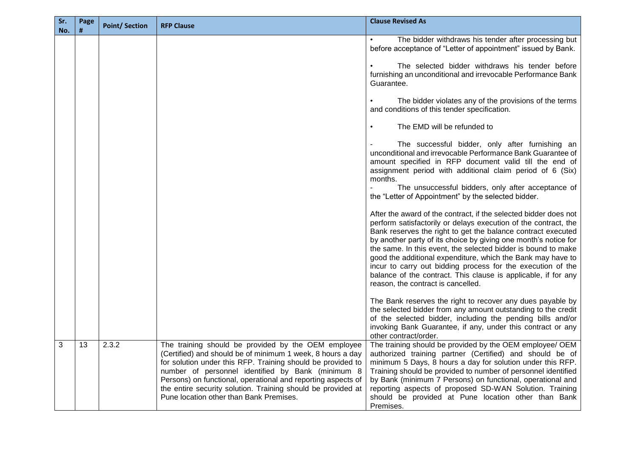| Sr.<br>No. | Page<br># | <b>Point/Section</b> | <b>RFP Clause</b>                                                                                                                                                                                                                                                                                                                                                                                                | <b>Clause Revised As</b>                                                                                                                                                                                                                                                                                                                                                                                                                                                                                                                                                                                                                                                                                                                                                                                                                                                                                                                                                                                                                                                                                                                                                                                                                                                                                                                                                                                                                                                                                                                      |
|------------|-----------|----------------------|------------------------------------------------------------------------------------------------------------------------------------------------------------------------------------------------------------------------------------------------------------------------------------------------------------------------------------------------------------------------------------------------------------------|-----------------------------------------------------------------------------------------------------------------------------------------------------------------------------------------------------------------------------------------------------------------------------------------------------------------------------------------------------------------------------------------------------------------------------------------------------------------------------------------------------------------------------------------------------------------------------------------------------------------------------------------------------------------------------------------------------------------------------------------------------------------------------------------------------------------------------------------------------------------------------------------------------------------------------------------------------------------------------------------------------------------------------------------------------------------------------------------------------------------------------------------------------------------------------------------------------------------------------------------------------------------------------------------------------------------------------------------------------------------------------------------------------------------------------------------------------------------------------------------------------------------------------------------------|
|            |           |                      |                                                                                                                                                                                                                                                                                                                                                                                                                  | The bidder withdraws his tender after processing but<br>before acceptance of "Letter of appointment" issued by Bank.<br>The selected bidder withdraws his tender before<br>furnishing an unconditional and irrevocable Performance Bank<br>Guarantee.<br>The bidder violates any of the provisions of the terms<br>and conditions of this tender specification.<br>The EMD will be refunded to<br>The successful bidder, only after furnishing an<br>unconditional and irrevocable Performance Bank Guarantee of<br>amount specified in RFP document valid till the end of<br>assignment period with additional claim period of 6 (Six)<br>months.<br>The unsuccessful bidders, only after acceptance of<br>the "Letter of Appointment" by the selected bidder.<br>After the award of the contract, if the selected bidder does not<br>perform satisfactorily or delays execution of the contract, the<br>Bank reserves the right to get the balance contract executed<br>by another party of its choice by giving one month's notice for<br>the same. In this event, the selected bidder is bound to make<br>good the additional expenditure, which the Bank may have to<br>incur to carry out bidding process for the execution of the<br>balance of the contract. This clause is applicable, if for any<br>reason, the contract is cancelled.<br>The Bank reserves the right to recover any dues payable by<br>the selected bidder from any amount outstanding to the credit<br>of the selected bidder, including the pending bills and/or |
|            |           |                      |                                                                                                                                                                                                                                                                                                                                                                                                                  | invoking Bank Guarantee, if any, under this contract or any<br>other contract/order.                                                                                                                                                                                                                                                                                                                                                                                                                                                                                                                                                                                                                                                                                                                                                                                                                                                                                                                                                                                                                                                                                                                                                                                                                                                                                                                                                                                                                                                          |
| 3          | 13        | 2.3.2                | The training should be provided by the OEM employee<br>(Certified) and should be of minimum 1 week, 8 hours a day<br>for solution under this RFP. Training should be provided to<br>number of personnel identified by Bank (minimum 8<br>Persons) on functional, operational and reporting aspects of<br>the entire security solution. Training should be provided at<br>Pune location other than Bank Premises. | The training should be provided by the OEM employee/ OEM<br>authorized training partner (Certified) and should be of<br>minimum 5 Days, 8 hours a day for solution under this RFP.<br>Training should be provided to number of personnel identified<br>by Bank (minimum 7 Persons) on functional, operational and<br>reporting aspects of proposed SD-WAN Solution. Training<br>should be provided at Pune location other than Bank<br>Premises.                                                                                                                                                                                                                                                                                                                                                                                                                                                                                                                                                                                                                                                                                                                                                                                                                                                                                                                                                                                                                                                                                              |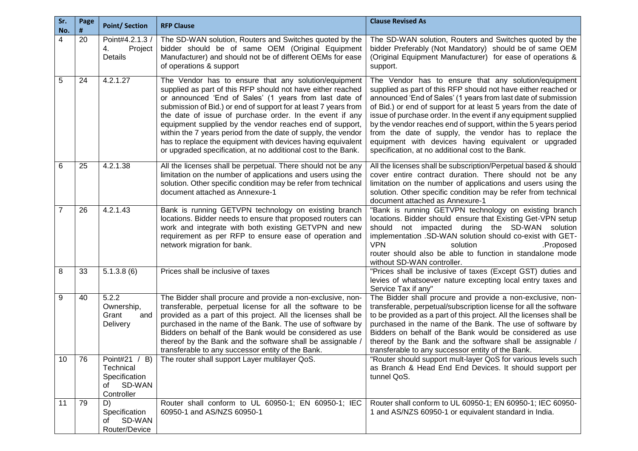| Sr.<br>No.     | Page<br># | <b>Point/Section</b>                                                      | <b>RFP Clause</b>                                                                                                                                                                                                                                                                                                                                                                                                                                                                                                                                                         | <b>Clause Revised As</b>                                                                                                                                                                                                                                                                                                                                                                                                                                                                                                                                                  |
|----------------|-----------|---------------------------------------------------------------------------|---------------------------------------------------------------------------------------------------------------------------------------------------------------------------------------------------------------------------------------------------------------------------------------------------------------------------------------------------------------------------------------------------------------------------------------------------------------------------------------------------------------------------------------------------------------------------|---------------------------------------------------------------------------------------------------------------------------------------------------------------------------------------------------------------------------------------------------------------------------------------------------------------------------------------------------------------------------------------------------------------------------------------------------------------------------------------------------------------------------------------------------------------------------|
| 4              | 20        | Point#4.2.1.3 /<br>Project<br>4.<br>Details                               | The SD-WAN solution, Routers and Switches quoted by the<br>bidder should be of same OEM (Original Equipment<br>Manufacturer) and should not be of different OEMs for ease<br>of operations & support                                                                                                                                                                                                                                                                                                                                                                      | The SD-WAN solution, Routers and Switches quoted by the<br>bidder Preferably (Not Mandatory) should be of same OEM<br>(Original Equipment Manufacturer) for ease of operations &<br>support.                                                                                                                                                                                                                                                                                                                                                                              |
| $\overline{5}$ | 24        | 4.2.1.27                                                                  | The Vendor has to ensure that any solution/equipment<br>supplied as part of this RFP should not have either reached<br>or announced 'End of Sales' (1 years from last date of<br>submission of Bid.) or end of support for at least 7 years from<br>the date of issue of purchase order. In the event if any<br>equipment supplied by the vendor reaches end of support,<br>within the 7 years period from the date of supply, the vendor<br>has to replace the equipment with devices having equivalent<br>or upgraded specification, at no additional cost to the Bank. | The Vendor has to ensure that any solution/equipment<br>supplied as part of this RFP should not have either reached or<br>announced 'End of Sales' (1 years from last date of submission<br>of Bid.) or end of support for at least 5 years from the date of<br>issue of purchase order. In the event if any equipment supplied<br>by the vendor reaches end of support, within the 5 years period<br>from the date of supply, the vendor has to replace the<br>equipment with devices having equivalent or upgraded<br>specification, at no additional cost to the Bank. |
| 6              | 25        | 4.2.1.38                                                                  | All the licenses shall be perpetual. There should not be any<br>limitation on the number of applications and users using the<br>solution. Other specific condition may be refer from technical<br>document attached as Annexure-1                                                                                                                                                                                                                                                                                                                                         | All the licenses shall be subscription/Perpetual based & should<br>cover entire contract duration. There should not be any<br>limitation on the number of applications and users using the<br>solution. Other specific condition may be refer from technical<br>document attached as Annexure-1                                                                                                                                                                                                                                                                           |
| $\overline{7}$ | 26        | 4.2.1.43                                                                  | Bank is running GETVPN technology on existing branch<br>locations. Bidder needs to ensure that proposed routers can<br>work and integrate with both existing GETVPN and new<br>requirement as per RFP to ensure ease of operation and<br>network migration for bank.                                                                                                                                                                                                                                                                                                      | "Bank is running GETVPN technology on existing branch<br>locations. Bidder should ensure that Existing Get-VPN setup<br>should not impacted during the SD-WAN solution<br>implementation .SD-WAN solution should co-exist with GET-<br><b>VPN</b><br>.Proposed<br>solution<br>router should also be able to function in standalone mode<br>without SD-WAN controller.                                                                                                                                                                                                     |
| 8              | 33        | 5.1.3.8(6)                                                                | Prices shall be inclusive of taxes                                                                                                                                                                                                                                                                                                                                                                                                                                                                                                                                        | "Prices shall be inclusive of taxes (Except GST) duties and<br>levies of whatsoever nature excepting local entry taxes and<br>Service Tax if any"                                                                                                                                                                                                                                                                                                                                                                                                                         |
| 9              | 40        | 5.2.2<br>Ownership,<br>Grant<br>and<br>Delivery                           | The Bidder shall procure and provide a non-exclusive, non-<br>transferable, perpetual license for all the software to be<br>provided as a part of this project. All the licenses shall be<br>purchased in the name of the Bank. The use of software by<br>Bidders on behalf of the Bank would be considered as use<br>thereof by the Bank and the software shall be assignable /<br>transferable to any successor entity of the Bank.                                                                                                                                     | The Bidder shall procure and provide a non-exclusive, non-<br>transferable, perpetual/subscription license for all the software<br>to be provided as a part of this project. All the licenses shall be<br>purchased in the name of the Bank. The use of software by<br>Bidders on behalf of the Bank would be considered as use<br>thereof by the Bank and the software shall be assignable /<br>transferable to any successor entity of the Bank.                                                                                                                        |
| 10             | 76        | Point#21 / B)<br>Technical<br>Specification<br>SD-WAN<br>οf<br>Controller | The router shall support Layer multilayer QoS.                                                                                                                                                                                                                                                                                                                                                                                                                                                                                                                            | "Router should support mult-layer QoS for various levels such<br>as Branch & Head End End Devices. It should support per<br>tunnel QoS.                                                                                                                                                                                                                                                                                                                                                                                                                                   |
| 11             | 79        | D)<br>Specification<br>SD-WAN<br>οt<br>Router/Device                      | Router shall conform to UL 60950-1; EN 60950-1; IEC<br>60950-1 and AS/NZS 60950-1                                                                                                                                                                                                                                                                                                                                                                                                                                                                                         | Router shall conform to UL 60950-1; EN 60950-1; IEC 60950-<br>1 and AS/NZS 60950-1 or equivalent standard in India.                                                                                                                                                                                                                                                                                                                                                                                                                                                       |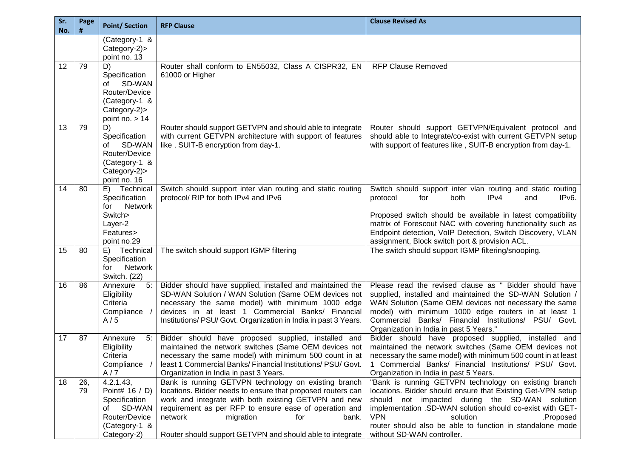| Sr.<br>No. | Page<br># | <b>Point/Section</b>                                                                                          | <b>RFP Clause</b>                                                                                                                                                                                                                                                                                                                          | <b>Clause Revised As</b>                                                                                                                                                                                                                                                                                                                                                  |
|------------|-----------|---------------------------------------------------------------------------------------------------------------|--------------------------------------------------------------------------------------------------------------------------------------------------------------------------------------------------------------------------------------------------------------------------------------------------------------------------------------------|---------------------------------------------------------------------------------------------------------------------------------------------------------------------------------------------------------------------------------------------------------------------------------------------------------------------------------------------------------------------------|
|            |           | (Category-1 &<br>Category-2)><br>point no. 13                                                                 |                                                                                                                                                                                                                                                                                                                                            |                                                                                                                                                                                                                                                                                                                                                                           |
| 12         | 79        | D)<br>Specification<br>SD-WAN<br>of<br>Router/Device<br>(Category-1 &<br>Category-2)><br>point no. $> 14$     | Router shall conform to EN55032, Class A CISPR32, EN<br>61000 or Higher                                                                                                                                                                                                                                                                    | <b>RFP Clause Removed</b>                                                                                                                                                                                                                                                                                                                                                 |
| 13         | 79        | D)<br>Specification<br>SD-WAN<br>of<br>Router/Device<br>(Category-1 &<br>Category-2)><br>point no. 16         | Router should support GETVPN and should able to integrate<br>with current GETVPN architecture with support of features<br>like, SUIT-B encryption from day-1.                                                                                                                                                                              | Router should support GETVPN/Equivalent protocol and<br>should able to Integrate/co-exist with current GETVPN setup<br>with support of features like, SUIT-B encryption from day-1.                                                                                                                                                                                       |
| 14         | 80        | Technical<br>E)<br>Specification<br>Network<br>for<br>Switch><br>Layer-2<br>Features><br>point no.29          | Switch should support inter vlan routing and static routing<br>protocol/ RIP for both IPv4 and IPv6                                                                                                                                                                                                                                        | Switch should support inter vlan routing and static routing<br>protocol<br>for<br>both<br>IPv4<br>and<br>IP <sub>v6</sub> .<br>Proposed switch should be available in latest compatibility<br>matrix of Forescout NAC with covering functionality such as<br>Endpoint detection, VoIP Detection, Switch Discovery, VLAN<br>assignment, Block switch port & provision ACL. |
| 15         | 80        | E) Technical<br>Specification<br><b>Network</b><br>for<br>Switch. (22)                                        | The switch should support IGMP filtering                                                                                                                                                                                                                                                                                                   | The switch should support IGMP filtering/snooping.                                                                                                                                                                                                                                                                                                                        |
| 16         | 86        | 5:<br>Annexure<br>Eligibility<br>Criteria<br>Compliance<br>A/5                                                | Bidder should have supplied, installed and maintained the<br>SD-WAN Solution / WAN Solution (Same OEM devices not<br>necessary the same model) with minimum 1000 edge<br>devices in at least 1 Commercial Banks/ Financial<br>Institutions/ PSU/ Govt. Organization in India in past 3 Years.                                              | Please read the revised clause as " Bidder should have<br>supplied, installed and maintained the SD-WAN Solution /<br>WAN Solution (Same OEM devices not necessary the same<br>model) with minimum 1000 edge routers in at least 1<br>Commercial Banks/ Financial Institutions/ PSU/ Govt.<br>Organization in India in past 5 Years."                                     |
| 17         | 87        | Annexure<br>5:<br>Eligibility<br>Criteria<br>Compliance<br>A/7                                                | Bidder should have proposed supplied, installed and<br>maintained the network switches (Same OEM devices not<br>necessary the same model) with minimum 500 count in at<br>least 1 Commercial Banks/ Financial Institutions/ PSU/ Govt.<br>Organization in India in past 3 Years.                                                           | Bidder should have proposed supplied, installed and<br>maintained the network switches (Same OEM devices not<br>necessary the same model) with minimum 500 count in at least<br>1 Commercial Banks/ Financial Institutions/ PSU/ Govt.<br>Organization in India in past 5 Years.                                                                                          |
| 18         | 26,<br>79 | 4.2.1.43,<br>Point# 16 / D)<br>Specification<br>SD-WAN<br>of<br>Router/Device<br>(Category-1 &<br>Category-2) | Bank is running GETVPN technology on existing branch<br>locations. Bidder needs to ensure that proposed routers can<br>work and integrate with both existing GETVPN and new<br>requirement as per RFP to ensure ease of operation and<br>network<br>migration<br>for<br>bank.<br>Router should support GETVPN and should able to integrate | "Bank is running GETVPN technology on existing branch<br>locations. Bidder should ensure that Existing Get-VPN setup<br>should not impacted during the SD-WAN solution<br>implementation .SD-WAN solution should co-exist with GET-<br><b>VPN</b><br>solution<br>.Proposed<br>router should also be able to function in standalone mode<br>without SD-WAN controller.     |